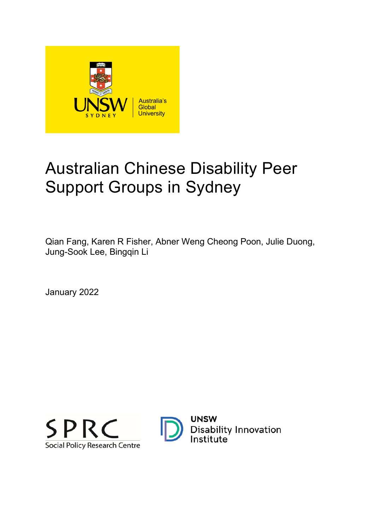

# Australian Chinese Disability Peer Support Groups in Sydney

Qian Fang, Karen R Fisher, Abner Weng Cheong Poon, Julie Duong, Jung-Sook Lee, Bingqin Li

January 2022



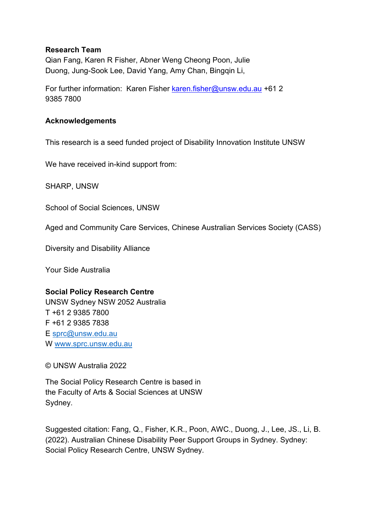#### **Research Team**

Qian Fang, Karen R Fisher, Abner Weng Cheong Poon, Julie Duong, Jung-Sook Lee, David Yang, Amy Chan, Bingqin Li,

For further information: Karen Fisher [karen.fisher@unsw.edu.au](mailto:karen.fisher@unsw.edu.au) +61 2 9385 7800

#### **Acknowledgements**

This research is a seed funded project of Disability Innovation Institute UNSW

We have received in-kind support from:

SHARP, UNSW

School of Social Sciences, UNSW

Aged and Community Care Services, Chinese Australian Services Society (CASS)

Diversity and Disability Alliance

Your Side Australia

#### **Social Policy Research Centre**

UNSW Sydney NSW 2052 Australia T +61 2 9385 7800 F +61 2 9385 7838 E [sprc@unsw.edu.au](mailto:sprc@unsw.edu.au) W [www.sprc.unsw.edu.au](http://www.sprc.unsw.edu.au/)

© UNSW Australia 2022

The Social Policy Research Centre is based in the Faculty of Arts & Social Sciences at UNSW Sydney.

Suggested citation: Fang, Q., Fisher, K.R., Poon, AWC., Duong, J., Lee, JS., Li, B. (2022). Australian Chinese Disability Peer Support Groups in Sydney. Sydney: Social Policy Research Centre, UNSW Sydney.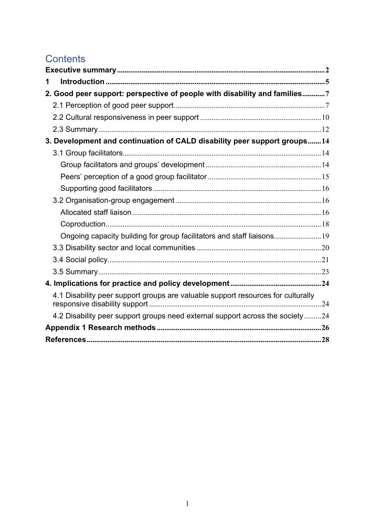## **Contents**

| 1                                                                                |
|----------------------------------------------------------------------------------|
| 2. Good peer support: perspective of people with disability and families7        |
|                                                                                  |
|                                                                                  |
|                                                                                  |
| 3. Development and continuation of CALD disability peer support groups14         |
|                                                                                  |
|                                                                                  |
|                                                                                  |
|                                                                                  |
|                                                                                  |
|                                                                                  |
|                                                                                  |
| Ongoing capacity building for group facilitators and staff liaisons 19           |
|                                                                                  |
|                                                                                  |
|                                                                                  |
|                                                                                  |
| 4.1 Disability peer support groups are valuable support resources for culturally |
| 4.2 Disability peer support groups need external support across the society24    |
|                                                                                  |
|                                                                                  |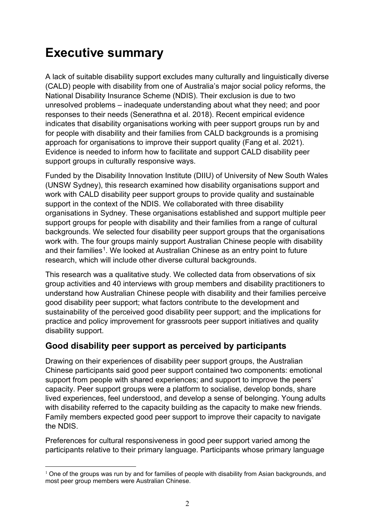## <span id="page-3-0"></span>**Executive summary**

A lack of suitable disability support excludes many culturally and linguistically diverse (CALD) people with disability from one of Australia's major social policy reforms, the National Disability Insurance Scheme (NDIS). Their exclusion is due to two unresolved problems – inadequate understanding about what they need; and poor responses to their needs (Senerathna et al. 2018). Recent empirical evidence indicates that disability organisations working with peer support groups run by and for people with disability and their families from CALD backgrounds is a promising approach for organisations to improve their support quality (Fang et al. 2021). Evidence is needed to inform how to facilitate and support CALD disability peer support groups in culturally responsive ways.

Funded by the Disability Innovation Institute (DIIU) of University of New South Wales (UNSW Sydney), this research examined how disability organisations support and work with CALD disability peer support groups to provide quality and sustainable support in the context of the NDIS. We collaborated with three disability organisations in Sydney. These organisations established and support multiple peer support groups for people with disability and their families from a range of cultural backgrounds. We selected four disability peer support groups that the organisations work with. The four groups mainly support Australian Chinese people with disability and their families<sup>1</sup>. We looked at Australian Chinese as an entry point to future research, which will include other diverse cultural backgrounds.

This research was a qualitative study. We collected data from observations of six group activities and 40 interviews with group members and disability practitioners to understand how Australian Chinese people with disability and their families perceive good disability peer support; what factors contribute to the development and sustainability of the perceived good disability peer support; and the implications for practice and policy improvement for grassroots peer support initiatives and quality disability support.

### **Good disability peer support as perceived by participants**

Drawing on their experiences of disability peer support groups, the Australian Chinese participants said good peer support contained two components: emotional support from people with shared experiences; and support to improve the peers' capacity. Peer support groups were a platform to socialise, develop bonds, share lived experiences, feel understood, and develop a sense of belonging. Young adults with disability referred to the capacity building as the capacity to make new friends. Family members expected good peer support to improve their capacity to navigate the NDIS.

Preferences for cultural responsiveness in good peer support varied among the participants relative to their primary language. Participants whose primary language

<span id="page-3-1"></span> $1$  One of the groups was run by and for families of people with disability from Asian backgrounds, and most peer group members were Australian Chinese.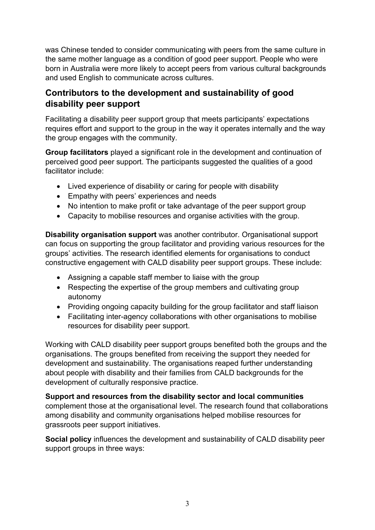was Chinese tended to consider communicating with peers from the same culture in the same mother language as a condition of good peer support. People who were born in Australia were more likely to accept peers from various cultural backgrounds and used English to communicate across cultures.

### **Contributors to the development and sustainability of good disability peer support**

Facilitating a disability peer support group that meets participants' expectations requires effort and support to the group in the way it operates internally and the way the group engages with the community.

**Group facilitators** played a significant role in the development and continuation of perceived good peer support. The participants suggested the qualities of a good facilitator include:

- Lived experience of disability or caring for people with disability
- Empathy with peers' experiences and needs
- No intention to make profit or take advantage of the peer support group
- Capacity to mobilise resources and organise activities with the group.

**Disability organisation support** was another contributor. Organisational support can focus on supporting the group facilitator and providing various resources for the groups' activities. The research identified elements for organisations to conduct constructive engagement with CALD disability peer support groups. These include:

- Assigning a capable staff member to liaise with the group
- Respecting the expertise of the group members and cultivating group autonomy
- Providing ongoing capacity building for the group facilitator and staff liaison
- Facilitating inter-agency collaborations with other organisations to mobilise resources for disability peer support.

Working with CALD disability peer support groups benefited both the groups and the organisations. The groups benefited from receiving the support they needed for development and sustainability. The organisations reaped further understanding about people with disability and their families from CALD backgrounds for the development of culturally responsive practice.

**Support and resources from the disability sector and local communities**  complement those at the organisational level. The research found that collaborations among disability and community organisations helped mobilise resources for grassroots peer support initiatives.

**Social policy** influences the development and sustainability of CALD disability peer support groups in three ways: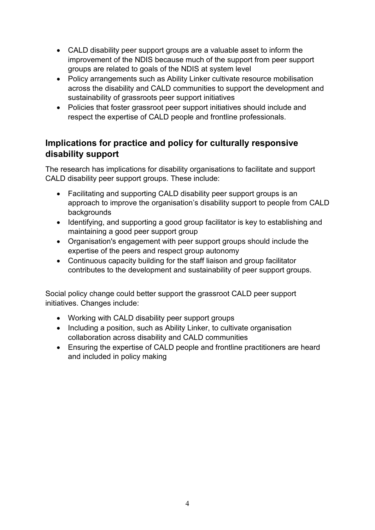- CALD disability peer support groups are a valuable asset to inform the improvement of the NDIS because much of the support from peer support groups are related to goals of the NDIS at system level
- Policy arrangements such as Ability Linker cultivate resource mobilisation across the disability and CALD communities to support the development and sustainability of grassroots peer support initiatives
- Policies that foster grassroot peer support initiatives should include and respect the expertise of CALD people and frontline professionals.

### **Implications for practice and policy for culturally responsive disability support**

The research has implications for disability organisations to facilitate and support CALD disability peer support groups. These include:

- Facilitating and supporting CALD disability peer support groups is an approach to improve the organisation's disability support to people from CALD backgrounds
- Identifying, and supporting a good group facilitator is key to establishing and maintaining a good peer support group
- Organisation's engagement with peer support groups should include the expertise of the peers and respect group autonomy
- Continuous capacity building for the staff liaison and group facilitator contributes to the development and sustainability of peer support groups.

Social policy change could better support the grassroot CALD peer support initiatives. Changes include:

- Working with CALD disability peer support groups
- Including a position, such as Ability Linker, to cultivate organisation collaboration across disability and CALD communities
- Ensuring the expertise of CALD people and frontline practitioners are heard and included in policy making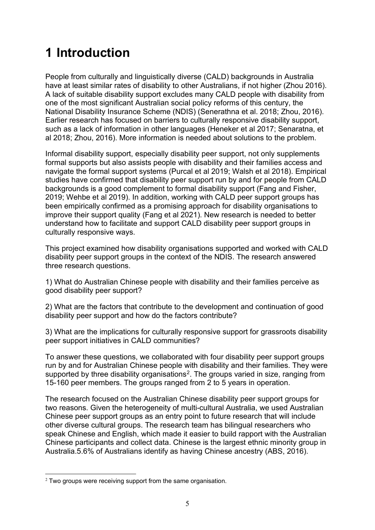## <span id="page-6-0"></span>**1 Introduction**

People from culturally and linguistically diverse (CALD) backgrounds in Australia have at least similar rates of disability to other Australians, if not higher (Zhou 2016). A lack of suitable disability support excludes many CALD people with disability from one of the most significant Australian social policy reforms of this century, the National Disability Insurance Scheme (NDIS) (Senerathna et al. 2018; Zhou, 2016). Earlier research has focused on barriers to culturally responsive disability support, such as a lack of information in other languages (Heneker et al 2017; Senaratna, et al 2018; Zhou, 2016). More information is needed about solutions to the problem.

Informal disability support, especially disability peer support, not only supplements formal supports but also assists people with disability and their families access and navigate the formal support systems (Purcal et al 2019; Walsh et al 2018). Empirical studies have confirmed that disability peer support run by and for people from CALD backgrounds is a good complement to formal disability support (Fang and Fisher, 2019; Wehbe et al 2019). In addition, working with CALD peer support groups has been empirically confirmed as a promising approach for disability organisations to improve their support quality (Fang et al 2021). New research is needed to better understand how to facilitate and support CALD disability peer support groups in culturally responsive ways.

This project examined how disability organisations supported and worked with CALD disability peer support groups in the context of the NDIS. The research answered three research questions.

1) What do Australian Chinese people with disability and their families perceive as good disability peer support?

2) What are the factors that contribute to the development and continuation of good disability peer support and how do the factors contribute?

3) What are the implications for culturally responsive support for grassroots disability peer support initiatives in CALD communities?

To answer these questions, we collaborated with four disability peer support groups run by and for Australian Chinese people with disability and their families. They were supported by three disability organisations<sup>[2](#page-6-1)</sup>. The groups varied in size, ranging from 15-160 peer members. The groups ranged from 2 to 5 years in operation.

The research focused on the Australian Chinese disability peer support groups for two reasons. Given the heterogeneity of multi-cultural Australia, we used Australian Chinese peer support groups as an entry point to future research that will include other diverse cultural groups. The research team has bilingual researchers who speak Chinese and English, which made it easier to build rapport with the Australian Chinese participants and collect data. Chinese is the largest ethnic minority group in Australia.5.6% of Australians identify as having Chinese ancestry (ABS, 2016).

<span id="page-6-1"></span> $2$  Two groups were receiving support from the same organisation.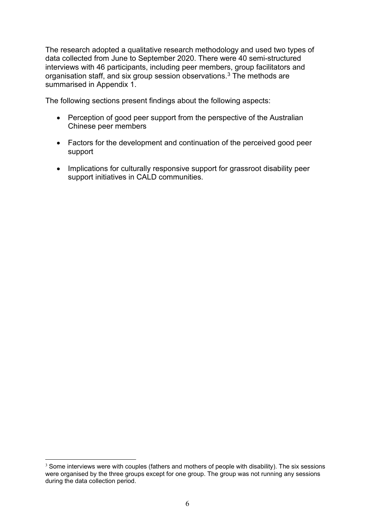The research adopted a qualitative research methodology and used two types of data collected from June to September 2020. There were 40 semi-structured interviews with 46 participants, including peer members, group facilitators and organisation staff, and six group session observations.[3](#page-7-0) The methods are summarised in Appendix 1.

The following sections present findings about the following aspects:

- Perception of good peer support from the perspective of the Australian Chinese peer members
- Factors for the development and continuation of the perceived good peer support
- Implications for culturally responsive support for grassroot disability peer support initiatives in CALD communities.

<span id="page-7-0"></span> $3$  Some interviews were with couples (fathers and mothers of people with disability). The six sessions were organised by the three groups except for one group. The group was not running any sessions during the data collection period.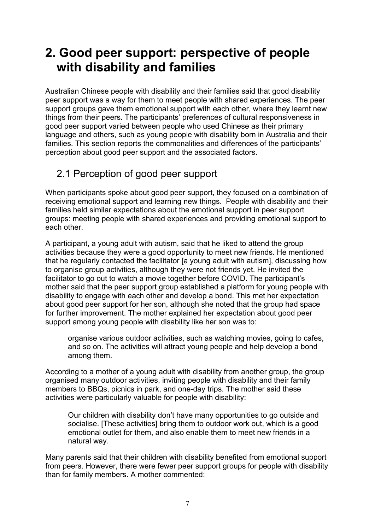## <span id="page-8-0"></span>**2. Good peer support: perspective of people with disability and families**

Australian Chinese people with disability and their families said that good disability peer support was a way for them to meet people with shared experiences. The peer support groups gave them emotional support with each other, where they learnt new things from their peers. The participants' preferences of cultural responsiveness in good peer support varied between people who used Chinese as their primary language and others, such as young people with disability born in Australia and their families. This section reports the commonalities and differences of the participants' perception about good peer support and the associated factors.

## <span id="page-8-1"></span>2.1 Perception of good peer support

When participants spoke about good peer support, they focused on a combination of receiving emotional support and learning new things. People with disability and their families held similar expectations about the emotional support in peer support groups: meeting people with shared experiences and providing emotional support to each other.

A participant, a young adult with autism, said that he liked to attend the group activities because they were a good opportunity to meet new friends. He mentioned that he regularly contacted the facilitator [a young adult with autism], discussing how to organise group activities, although they were not friends yet. He invited the facilitator to go out to watch a movie together before COVID. The participant's mother said that the peer support group established a platform for young people with disability to engage with each other and develop a bond. This met her expectation about good peer support for her son, although she noted that the group had space for further improvement. The mother explained her expectation about good peer support among young people with disability like her son was to:

organise various outdoor activities, such as watching movies, going to cafes, and so on. The activities will attract young people and help develop a bond among them.

According to a mother of a young adult with disability from another group, the group organised many outdoor activities, inviting people with disability and their family members to BBQs, picnics in park, and one-day trips. The mother said these activities were particularly valuable for people with disability:

Our children with disability don't have many opportunities to go outside and socialise. [These activities] bring them to outdoor work out, which is a good emotional outlet for them, and also enable them to meet new friends in a natural way.

Many parents said that their children with disability benefited from emotional support from peers. However, there were fewer peer support groups for people with disability than for family members. A mother commented: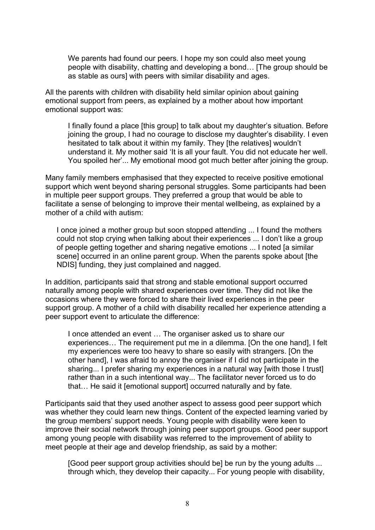We parents had found our peers. I hope my son could also meet young people with disability, chatting and developing a bond… [The group should be as stable as ours] with peers with similar disability and ages.

All the parents with children with disability held similar opinion about gaining emotional support from peers, as explained by a mother about how important emotional support was:

I finally found a place [this group] to talk about my daughter's situation. Before joining the group, I had no courage to disclose my daughter's disability. I even hesitated to talk about it within my family. They [the relatives] wouldn't understand it. My mother said 'It is all your fault. You did not educate her well. You spoiled her'... My emotional mood got much better after joining the group.

Many family members emphasised that they expected to receive positive emotional support which went beyond sharing personal struggles. Some participants had been in multiple peer support groups. They preferred a group that would be able to facilitate a sense of belonging to improve their mental wellbeing, as explained by a mother of a child with autism:

I once joined a mother group but soon stopped attending ... I found the mothers could not stop crying when talking about their experiences ... I don't like a group of people getting together and sharing negative emotions ... I noted [a similar scene] occurred in an online parent group. When the parents spoke about [the NDIS] funding, they just complained and nagged.

In addition, participants said that strong and stable emotional support occurred naturally among people with shared experiences over time. They did not like the occasions where they were forced to share their lived experiences in the peer support group. A mother of a child with disability recalled her experience attending a peer support event to articulate the difference:

I once attended an event … The organiser asked us to share our experiences… The requirement put me in a dilemma. [On the one hand], I felt my experiences were too heavy to share so easily with strangers. [On the other hand], I was afraid to annoy the organiser if I did not participate in the sharing... I prefer sharing my experiences in a natural way [with those I trust] rather than in a such intentional way... The facilitator never forced us to do that… He said it [emotional support] occurred naturally and by fate.

Participants said that they used another aspect to assess good peer support which was whether they could learn new things. Content of the expected learning varied by the group members' support needs. Young people with disability were keen to improve their social network through joining peer support groups. Good peer support among young people with disability was referred to the improvement of ability to meet people at their age and develop friendship, as said by a mother:

[Good peer support group activities should be] be run by the young adults ... through which, they develop their capacity... For young people with disability,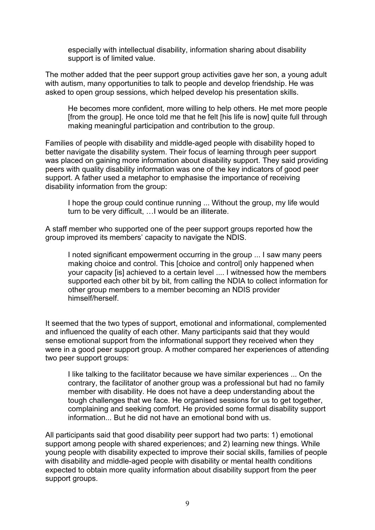especially with intellectual disability, information sharing about disability support is of limited value.

The mother added that the peer support group activities gave her son, a young adult with autism, many opportunities to talk to people and develop friendship. He was asked to open group sessions, which helped develop his presentation skills.

He becomes more confident, more willing to help others. He met more people [from the group]. He once told me that he felt [his life is now] quite full through making meaningful participation and contribution to the group.

Families of people with disability and middle-aged people with disability hoped to better navigate the disability system. Their focus of learning through peer support was placed on gaining more information about disability support. They said providing peers with quality disability information was one of the key indicators of good peer support. A father used a metaphor to emphasise the importance of receiving disability information from the group:

I hope the group could continue running ... Without the group, my life would turn to be very difficult, …I would be an illiterate.

A staff member who supported one of the peer support groups reported how the group improved its members' capacity to navigate the NDIS.

I noted significant empowerment occurring in the group ... I saw many peers making choice and control. This [choice and control] only happened when your capacity [is] achieved to a certain level .... I witnessed how the members supported each other bit by bit, from calling the NDIA to collect information for other group members to a member becoming an NDIS provider himself/herself.

It seemed that the two types of support, emotional and informational, complemented and influenced the quality of each other. Many participants said that they would sense emotional support from the informational support they received when they were in a good peer support group. A mother compared her experiences of attending two peer support groups:

I like talking to the facilitator because we have similar experiences ... On the contrary, the facilitator of another group was a professional but had no family member with disability. He does not have a deep understanding about the tough challenges that we face. He organised sessions for us to get together, complaining and seeking comfort. He provided some formal disability support information... But he did not have an emotional bond with us.

All participants said that good disability peer support had two parts: 1) emotional support among people with shared experiences; and 2) learning new things. While young people with disability expected to improve their social skills, families of people with disability and middle-aged people with disability or mental health conditions expected to obtain more quality information about disability support from the peer support groups.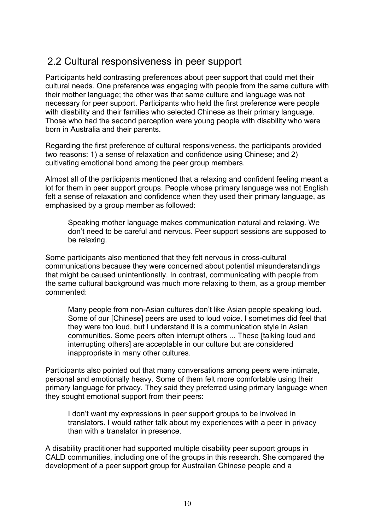## <span id="page-11-0"></span>2.2 Cultural responsiveness in peer support

Participants held contrasting preferences about peer support that could met their cultural needs. One preference was engaging with people from the same culture with their mother language; the other was that same culture and language was not necessary for peer support. Participants who held the first preference were people with disability and their families who selected Chinese as their primary language. Those who had the second perception were young people with disability who were born in Australia and their parents.

Regarding the first preference of cultural responsiveness, the participants provided two reasons: 1) a sense of relaxation and confidence using Chinese; and 2) cultivating emotional bond among the peer group members.

Almost all of the participants mentioned that a relaxing and confident feeling meant a lot for them in peer support groups. People whose primary language was not English felt a sense of relaxation and confidence when they used their primary language, as emphasised by a group member as followed:

Speaking mother language makes communication natural and relaxing. We don't need to be careful and nervous. Peer support sessions are supposed to be relaxing.

Some participants also mentioned that they felt nervous in cross-cultural communications because they were concerned about potential misunderstandings that might be caused unintentionally. In contrast, communicating with people from the same cultural background was much more relaxing to them, as a group member commented:

Many people from non-Asian cultures don't like Asian people speaking loud. Some of our [Chinese] peers are used to loud voice. I sometimes did feel that they were too loud, but I understand it is a communication style in Asian communities. Some peers often interrupt others ... These [talking loud and interrupting others] are acceptable in our culture but are considered inappropriate in many other cultures.

Participants also pointed out that many conversations among peers were intimate, personal and emotionally heavy. Some of them felt more comfortable using their primary language for privacy. They said they preferred using primary language when they sought emotional support from their peers:

I don't want my expressions in peer support groups to be involved in translators. I would rather talk about my experiences with a peer in privacy than with a translator in presence.

A disability practitioner had supported multiple disability peer support groups in CALD communities, including one of the groups in this research. She compared the development of a peer support group for Australian Chinese people and a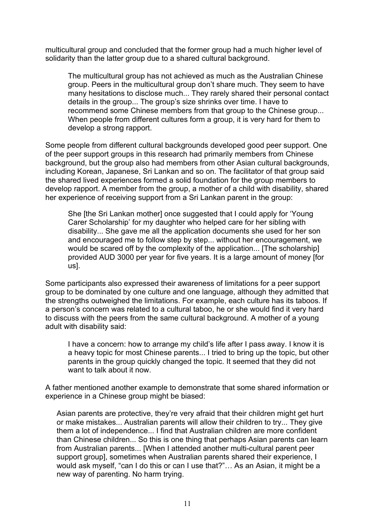multicultural group and concluded that the former group had a much higher level of solidarity than the latter group due to a shared cultural background.

The multicultural group has not achieved as much as the Australian Chinese group. Peers in the multicultural group don't share much. They seem to have many hesitations to disclose much... They rarely shared their personal contact details in the group... The group's size shrinks over time. I have to recommend some Chinese members from that group to the Chinese group... When people from different cultures form a group, it is very hard for them to develop a strong rapport.

Some people from different cultural backgrounds developed good peer support. One of the peer support groups in this research had primarily members from Chinese background, but the group also had members from other Asian cultural backgrounds, including Korean, Japanese, Sri Lankan and so on. The facilitator of that group said the shared lived experiences formed a solid foundation for the group members to develop rapport. A member from the group, a mother of a child with disability, shared her experience of receiving support from a Sri Lankan parent in the group:

She [the Sri Lankan mother] once suggested that I could apply for 'Young Carer Scholarship' for my daughter who helped care for her sibling with disability... She gave me all the application documents she used for her son and encouraged me to follow step by step... without her encouragement, we would be scared off by the complexity of the application... [The scholarship] provided AUD 3000 per year for five years. It is a large amount of money [for us].

Some participants also expressed their awareness of limitations for a peer support group to be dominated by one culture and one language, although they admitted that the strengths outweighed the limitations. For example, each culture has its taboos. If a person's concern was related to a cultural taboo, he or she would find it very hard to discuss with the peers from the same cultural background. A mother of a young adult with disability said:

I have a concern: how to arrange my child's life after I pass away. I know it is a heavy topic for most Chinese parents... I tried to bring up the topic, but other parents in the group quickly changed the topic. It seemed that they did not want to talk about it now.

A father mentioned another example to demonstrate that some shared information or experience in a Chinese group might be biased:

Asian parents are protective, they're very afraid that their children might get hurt or make mistakes... Australian parents will allow their children to try... They give them a lot of independence... I find that Australian children are more confident than Chinese children... So this is one thing that perhaps Asian parents can learn from Australian parents... [When I attended another multi-cultural parent peer support group], sometimes when Australian parents shared their experience, I would ask myself, "can I do this or can I use that?"… As an Asian, it might be a new way of parenting. No harm trying.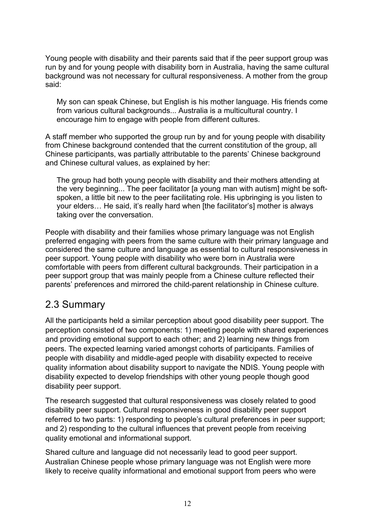Young people with disability and their parents said that if the peer support group was run by and for young people with disability born in Australia, having the same cultural background was not necessary for cultural responsiveness. A mother from the group said:

My son can speak Chinese, but English is his mother language. His friends come from various cultural backgrounds... Australia is a multicultural country. I encourage him to engage with people from different cultures.

A staff member who supported the group run by and for young people with disability from Chinese background contended that the current constitution of the group, all Chinese participants, was partially attributable to the parents' Chinese background and Chinese cultural values, as explained by her:

The group had both young people with disability and their mothers attending at the very beginning... The peer facilitator [a young man with autism] might be softspoken, a little bit new to the peer facilitating role. His upbringing is you listen to your elders… He said, it's really hard when [the facilitator's] mother is always taking over the conversation.

People with disability and their families whose primary language was not English preferred engaging with peers from the same culture with their primary language and considered the same culture and language as essential to cultural responsiveness in peer support. Young people with disability who were born in Australia were comfortable with peers from different cultural backgrounds. Their participation in a peer support group that was mainly people from a Chinese culture reflected their parents' preferences and mirrored the child-parent relationship in Chinese culture.

### <span id="page-13-0"></span>2.3 Summary

All the participants held a similar perception about good disability peer support. The perception consisted of two components: 1) meeting people with shared experiences and providing emotional support to each other; and 2) learning new things from peers. The expected learning varied amongst cohorts of participants. Families of people with disability and middle-aged people with disability expected to receive quality information about disability support to navigate the NDIS. Young people with disability expected to develop friendships with other young people though good disability peer support.

The research suggested that cultural responsiveness was closely related to good disability peer support. Cultural responsiveness in good disability peer support referred to two parts: 1) responding to people's cultural preferences in peer support; and 2) responding to the cultural influences that prevent people from receiving quality emotional and informational support.

Shared culture and language did not necessarily lead to good peer support. Australian Chinese people whose primary language was not English were more likely to receive quality informational and emotional support from peers who were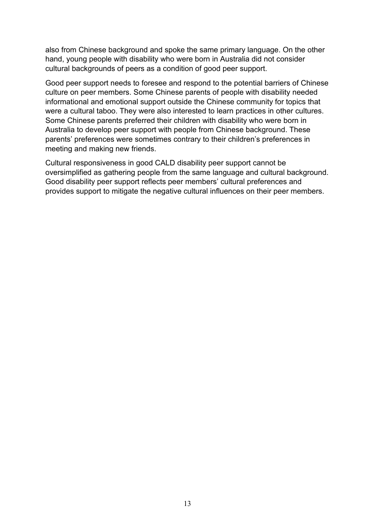also from Chinese background and spoke the same primary language. On the other hand, young people with disability who were born in Australia did not consider cultural backgrounds of peers as a condition of good peer support.

Good peer support needs to foresee and respond to the potential barriers of Chinese culture on peer members. Some Chinese parents of people with disability needed informational and emotional support outside the Chinese community for topics that were a cultural taboo. They were also interested to learn practices in other cultures. Some Chinese parents preferred their children with disability who were born in Australia to develop peer support with people from Chinese background. These parents' preferences were sometimes contrary to their children's preferences in meeting and making new friends.

Cultural responsiveness in good CALD disability peer support cannot be oversimplified as gathering people from the same language and cultural background. Good disability peer support reflects peer members' cultural preferences and provides support to mitigate the negative cultural influences on their peer members.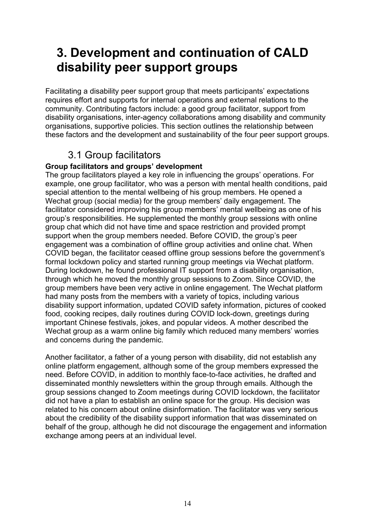## <span id="page-15-0"></span>**3. Development and continuation of CALD disability peer support groups**

Facilitating a disability peer support group that meets participants' expectations requires effort and supports for internal operations and external relations to the community. Contributing factors include: a good group facilitator, support from disability organisations, inter-agency collaborations among disability and community organisations, supportive policies. This section outlines the relationship between these factors and the development and sustainability of the four peer support groups.

## 3.1 Group facilitators

#### <span id="page-15-2"></span><span id="page-15-1"></span>**Group facilitators and groups' development**

The group facilitators played a key role in influencing the groups' operations. For example, one group facilitator, who was a person with mental health conditions, paid special attention to the mental wellbeing of his group members. He opened a Wechat group (social media) for the group members' daily engagement. The facilitator considered improving his group members' mental wellbeing as one of his group's responsibilities. He supplemented the monthly group sessions with online group chat which did not have time and space restriction and provided prompt support when the group members needed. Before COVID, the group's peer engagement was a combination of offline group activities and online chat. When COVID began, the facilitator ceased offline group sessions before the government's formal lockdown policy and started running group meetings via Wechat platform. During lockdown, he found professional IT support from a disability organisation, through which he moved the monthly group sessions to Zoom. Since COVID, the group members have been very active in online engagement. The Wechat platform had many posts from the members with a variety of topics, including various disability support information, updated COVID safety information, pictures of cooked food, cooking recipes, daily routines during COVID lock-down, greetings during important Chinese festivals, jokes, and popular videos. A mother described the Wechat group as a warm online big family which reduced many members' worries and concerns during the pandemic.

Another facilitator, a father of a young person with disability, did not establish any online platform engagement, although some of the group members expressed the need. Before COVID, in addition to monthly face-to-face activities, he drafted and disseminated monthly newsletters within the group through emails. Although the group sessions changed to Zoom meetings during COVID lockdown, the facilitator did not have a plan to establish an online space for the group. His decision was related to his concern about online disinformation. The facilitator was very serious about the credibility of the disability support information that was disseminated on behalf of the group, although he did not discourage the engagement and information exchange among peers at an individual level.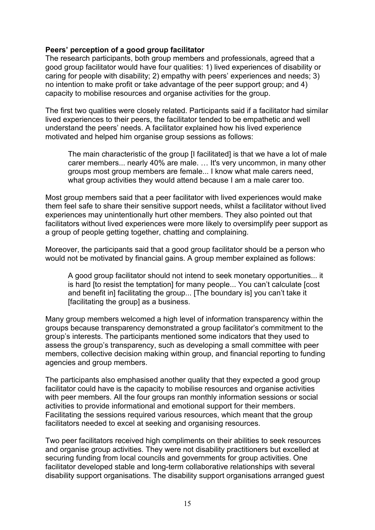#### <span id="page-16-0"></span>**Peers' perception of a good group facilitator**

The research participants, both group members and professionals, agreed that a good group facilitator would have four qualities: 1) lived experiences of disability or caring for people with disability; 2) empathy with peers' experiences and needs; 3) no intention to make profit or take advantage of the peer support group; and 4) capacity to mobilise resources and organise activities for the group.

The first two qualities were closely related. Participants said if a facilitator had similar lived experiences to their peers, the facilitator tended to be empathetic and well understand the peers' needs. A facilitator explained how his lived experience motivated and helped him organise group sessions as follows:

The main characteristic of the group [I facilitated] is that we have a lot of male carer members... nearly 40% are male. … It's very uncommon, in many other groups most group members are female... I know what male carers need, what group activities they would attend because I am a male carer too.

Most group members said that a peer facilitator with lived experiences would make them feel safe to share their sensitive support needs, whilst a facilitator without lived experiences may unintentionally hurt other members. They also pointed out that facilitators without lived experiences were more likely to oversimplify peer support as a group of people getting together, chatting and complaining.

Moreover, the participants said that a good group facilitator should be a person who would not be motivated by financial gains. A group member explained as follows:

A good group facilitator should not intend to seek monetary opportunities... it is hard [to resist the temptation] for many people... You can't calculate [cost and benefit in] facilitating the group... [The boundary is] you can't take it [facilitating the group] as a business.

Many group members welcomed a high level of information transparency within the groups because transparency demonstrated a group facilitator's commitment to the group's interests. The participants mentioned some indicators that they used to assess the group's transparency, such as developing a small committee with peer members, collective decision making within group, and financial reporting to funding agencies and group members.

The participants also emphasised another quality that they expected a good group facilitator could have is the capacity to mobilise resources and organise activities with peer members. All the four groups ran monthly information sessions or social activities to provide informational and emotional support for their members. Facilitating the sessions required various resources, which meant that the group facilitators needed to excel at seeking and organising resources.

Two peer facilitators received high compliments on their abilities to seek resources and organise group activities. They were not disability practitioners but excelled at securing funding from local councils and governments for group activities. One facilitator developed stable and long-term collaborative relationships with several disability support organisations. The disability support organisations arranged guest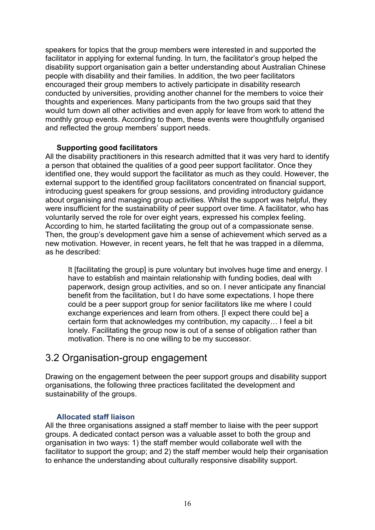speakers for topics that the group members were interested in and supported the facilitator in applying for external funding. In turn, the facilitator's group helped the disability support organisation gain a better understanding about Australian Chinese people with disability and their families. In addition, the two peer facilitators encouraged their group members to actively participate in disability research conducted by universities, providing another channel for the members to voice their thoughts and experiences. Many participants from the two groups said that they would turn down all other activities and even apply for leave from work to attend the monthly group events. According to them, these events were thoughtfully organised and reflected the group members' support needs.

#### **Supporting good facilitators**

<span id="page-17-0"></span>All the disability practitioners in this research admitted that it was very hard to identify a person that obtained the qualities of a good peer support facilitator. Once they identified one, they would support the facilitator as much as they could. However, the external support to the identified group facilitators concentrated on financial support, introducing guest speakers for group sessions, and providing introductory guidance about organising and managing group activities. Whilst the support was helpful, they were insufficient for the sustainability of peer support over time. A facilitator, who has voluntarily served the role for over eight years, expressed his complex feeling. According to him, he started facilitating the group out of a compassionate sense. Then, the group's development gave him a sense of achievement which served as a new motivation. However, in recent years, he felt that he was trapped in a dilemma, as he described:

It [facilitating the group] is pure voluntary but involves huge time and energy. I have to establish and maintain relationship with funding bodies, deal with paperwork, design group activities, and so on. I never anticipate any financial benefit from the facilitation, but I do have some expectations. I hope there could be a peer support group for senior facilitators like me where I could exchange experiences and learn from others. [I expect there could be] a certain form that acknowledges my contribution, my capacity… I feel a bit lonely. Facilitating the group now is out of a sense of obligation rather than motivation. There is no one willing to be my successor.

### <span id="page-17-1"></span>3.2 Organisation-group engagement

Drawing on the engagement between the peer support groups and disability support organisations, the following three practices facilitated the development and sustainability of the groups.

#### **Allocated staff liaison**

<span id="page-17-2"></span>All the three organisations assigned a staff member to liaise with the peer support groups. A dedicated contact person was a valuable asset to both the group and organisation in two ways: 1) the staff member would collaborate well with the facilitator to support the group; and 2) the staff member would help their organisation to enhance the understanding about culturally responsive disability support.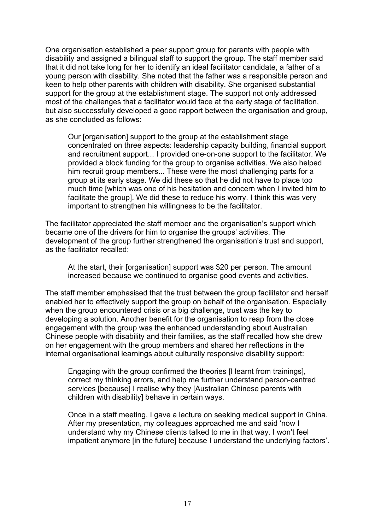One organisation established a peer support group for parents with people with disability and assigned a bilingual staff to support the group. The staff member said that it did not take long for her to identify an ideal facilitator candidate, a father of a young person with disability. She noted that the father was a responsible person and keen to help other parents with children with disability. She organised substantial support for the group at the establishment stage. The support not only addressed most of the challenges that a facilitator would face at the early stage of facilitation, but also successfully developed a good rapport between the organisation and group, as she concluded as follows:

Our [organisation] support to the group at the establishment stage concentrated on three aspects: leadership capacity building, financial support and recruitment support... I provided one-on-one support to the facilitator. We provided a block funding for the group to organise activities. We also helped him recruit group members... These were the most challenging parts for a group at its early stage. We did these so that he did not have to place too much time [which was one of his hesitation and concern when I invited him to facilitate the group]. We did these to reduce his worry. I think this was very important to strengthen his willingness to be the facilitator.

The facilitator appreciated the staff member and the organisation's support which became one of the drivers for him to organise the groups' activities. The development of the group further strengthened the organisation's trust and support, as the facilitator recalled:

At the start, their [organisation] support was \$20 per person. The amount increased because we continued to organise good events and activities.

The staff member emphasised that the trust between the group facilitator and herself enabled her to effectively support the group on behalf of the organisation. Especially when the group encountered crisis or a big challenge, trust was the key to developing a solution. Another benefit for the organisation to reap from the close engagement with the group was the enhanced understanding about Australian Chinese people with disability and their families, as the staff recalled how she drew on her engagement with the group members and shared her reflections in the internal organisational learnings about culturally responsive disability support:

Engaging with the group confirmed the theories [I learnt from trainings], correct my thinking errors, and help me further understand person-centred services [because] I realise why they [Australian Chinese parents with children with disability] behave in certain ways.

<span id="page-18-0"></span>Once in a staff meeting, I gave a lecture on seeking medical support in China. After my presentation, my colleagues approached me and said 'now I understand why my Chinese clients talked to me in that way. I won't feel impatient anymore [in the future] because I understand the underlying factors'.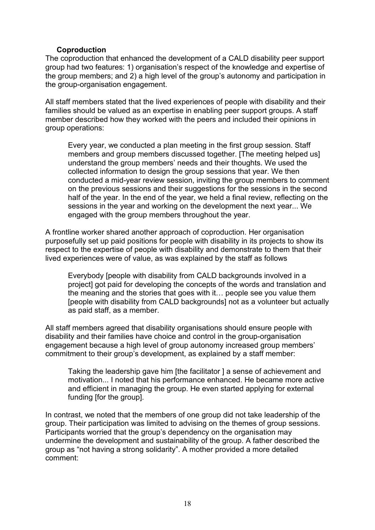#### **Coproduction**

The coproduction that enhanced the development of a CALD disability peer support group had two features: 1) organisation's respect of the knowledge and expertise of the group members; and 2) a high level of the group's autonomy and participation in the group-organisation engagement.

All staff members stated that the lived experiences of people with disability and their families should be valued as an expertise in enabling peer support groups. A staff member described how they worked with the peers and included their opinions in group operations:

Every year, we conducted a plan meeting in the first group session. Staff members and group members discussed together. [The meeting helped us] understand the group members' needs and their thoughts. We used the collected information to design the group sessions that year. We then conducted a mid-year review session, inviting the group members to comment on the previous sessions and their suggestions for the sessions in the second half of the year. In the end of the year, we held a final review, reflecting on the sessions in the year and working on the development the next year... We engaged with the group members throughout the year.

A frontline worker shared another approach of coproduction. Her organisation purposefully set up paid positions for people with disability in its projects to show its respect to the expertise of people with disability and demonstrate to them that their lived experiences were of value, as was explained by the staff as follows

Everybody [people with disability from CALD backgrounds involved in a project] got paid for developing the concepts of the words and translation and the meaning and the stories that goes with it… people see you value them [people with disability from CALD backgrounds] not as a volunteer but actually as paid staff, as a member.

All staff members agreed that disability organisations should ensure people with disability and their families have choice and control in the group-organisation engagement because a high level of group autonomy increased group members' commitment to their group's development, as explained by a staff member:

Taking the leadership gave him [the facilitator ] a sense of achievement and motivation... I noted that his performance enhanced. He became more active and efficient in managing the group. He even started applying for external funding [for the group].

In contrast, we noted that the members of one group did not take leadership of the group. Their participation was limited to advising on the themes of group sessions. Participants worried that the group's dependency on the organisation may undermine the development and sustainability of the group. A father described the group as "not having a strong solidarity". A mother provided a more detailed comment: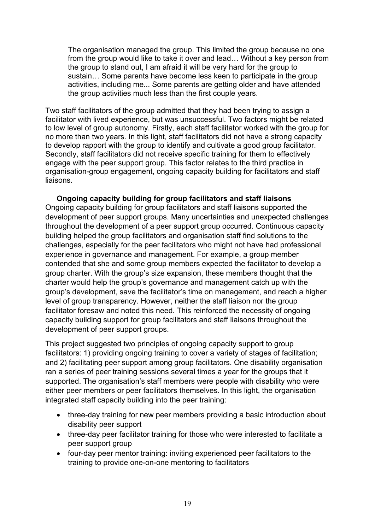The organisation managed the group. This limited the group because no one from the group would like to take it over and lead… Without a key person from the group to stand out, I am afraid it will be very hard for the group to sustain… Some parents have become less keen to participate in the group activities, including me... Some parents are getting older and have attended the group activities much less than the first couple years.

Two staff facilitators of the group admitted that they had been trying to assign a facilitator with lived experience, but was unsuccessful. Two factors might be related to low level of group autonomy. Firstly, each staff facilitator worked with the group for no more than two years. In this light, staff facilitators did not have a strong capacity to develop rapport with the group to identify and cultivate a good group facilitator. Secondly, staff facilitators did not receive specific training for them to effectively engage with the peer support group. This factor relates to the third practice in organisation-group engagement, ongoing capacity building for facilitators and staff liaisons.

<span id="page-20-0"></span>**Ongoing capacity building for group facilitators and staff liaisons** Ongoing capacity building for group facilitators and staff liaisons supported the development of peer support groups. Many uncertainties and unexpected challenges throughout the development of a peer support group occurred. Continuous capacity building helped the group facilitators and organisation staff find solutions to the challenges, especially for the peer facilitators who might not have had professional experience in governance and management. For example, a group member contended that she and some group members expected the facilitator to develop a group charter. With the group's size expansion, these members thought that the charter would help the group's governance and management catch up with the group's development, save the facilitator's time on management, and reach a higher level of group transparency. However, neither the staff liaison nor the group facilitator foresaw and noted this need. This reinforced the necessity of ongoing capacity building support for group facilitators and staff liaisons throughout the development of peer support groups.

This project suggested two principles of ongoing capacity support to group facilitators: 1) providing ongoing training to cover a variety of stages of facilitation; and 2) facilitating peer support among group facilitators. One disability organisation ran a series of peer training sessions several times a year for the groups that it supported. The organisation's staff members were people with disability who were either peer members or peer facilitators themselves. In this light, the organisation integrated staff capacity building into the peer training:

- three-day training for new peer members providing a basic introduction about disability peer support
- three-day peer facilitator training for those who were interested to facilitate a peer support group
- four-day peer mentor training: inviting experienced peer facilitators to the training to provide one-on-one mentoring to facilitators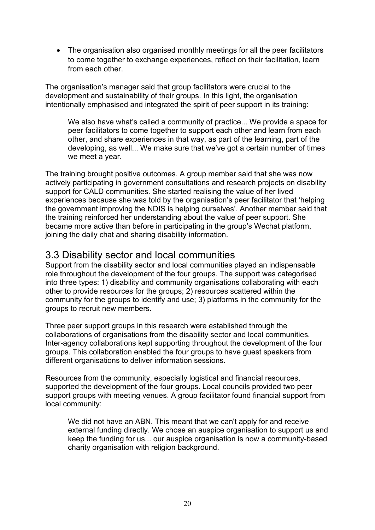• The organisation also organised monthly meetings for all the peer facilitators to come together to exchange experiences, reflect on their facilitation, learn from each other.

The organisation's manager said that group facilitators were crucial to the development and sustainability of their groups. In this light, the organisation intentionally emphasised and integrated the spirit of peer support in its training:

We also have what's called a community of practice... We provide a space for peer facilitators to come together to support each other and learn from each other, and share experiences in that way, as part of the learning, part of the developing, as well... We make sure that we've got a certain number of times we meet a year.

The training brought positive outcomes. A group member said that she was now actively participating in government consultations and research projects on disability support for CALD communities. She started realising the value of her lived experiences because she was told by the organisation's peer facilitator that 'helping the government improving the NDIS is helping ourselves'. Another member said that the training reinforced her understanding about the value of peer support. She became more active than before in participating in the group's Wechat platform, joining the daily chat and sharing disability information.

#### <span id="page-21-0"></span>3.3 Disability sector and local communities

Support from the disability sector and local communities played an indispensable role throughout the development of the four groups. The support was categorised into three types: 1) disability and community organisations collaborating with each other to provide resources for the groups; 2) resources scattered within the community for the groups to identify and use; 3) platforms in the community for the groups to recruit new members.

Three peer support groups in this research were established through the collaborations of organisations from the disability sector and local communities. Inter-agency collaborations kept supporting throughout the development of the four groups. This collaboration enabled the four groups to have guest speakers from different organisations to deliver information sessions.

Resources from the community, especially logistical and financial resources, supported the development of the four groups. Local councils provided two peer support groups with meeting venues. A group facilitator found financial support from local community:

We did not have an ABN. This meant that we can't apply for and receive external funding directly. We chose an auspice organisation to support us and keep the funding for us... our auspice organisation is now a community-based charity organisation with religion background.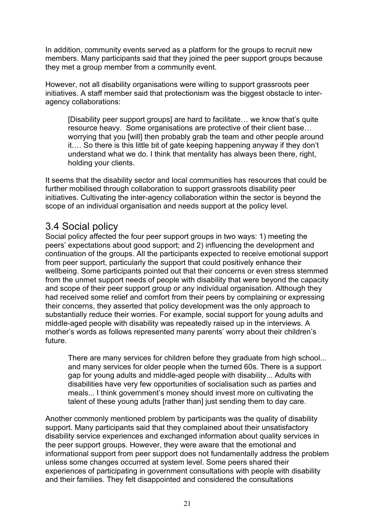In addition, community events served as a platform for the groups to recruit new members. Many participants said that they joined the peer support groups because they met a group member from a community event.

However, not all disability organisations were willing to support grassroots peer initiatives. A staff member said that protectionism was the biggest obstacle to interagency collaborations:

[Disability peer support groups] are hard to facilitate… we know that's quite resource heavy. Some organisations are protective of their client base… worrying that you [will] then probably grab the team and other people around it.… So there is this little bit of gate keeping happening anyway if they don't understand what we do. I think that mentality has always been there, right, holding your clients.

It seems that the disability sector and local communities has resources that could be further mobilised through collaboration to support grassroots disability peer initiatives. Cultivating the inter-agency collaboration within the sector is beyond the scope of an individual organisation and needs support at the policy level.

### <span id="page-22-0"></span>3.4 Social policy

Social policy affected the four peer support groups in two ways: 1) meeting the peers' expectations about good support; and 2) influencing the development and continuation of the groups. All the participants expected to receive emotional support from peer support, particularly the support that could positively enhance their wellbeing. Some participants pointed out that their concerns or even stress stemmed from the unmet support needs of people with disability that were beyond the capacity and scope of their peer support group or any individual organisation. Although they had received some relief and comfort from their peers by complaining or expressing their concerns, they asserted that policy development was the only approach to substantially reduce their worries. For example, social support for young adults and middle-aged people with disability was repeatedly raised up in the interviews. A mother's words as follows represented many parents' worry about their children's future.

There are many services for children before they graduate from high school... and many services for older people when the turned 60s. There is a support gap for young adults and middle-aged people with disability... Adults with disabilities have very few opportunities of socialisation such as parties and meals... I think government's money should invest more on cultivating the talent of these young adults [rather than] just sending them to day care.

Another commonly mentioned problem by participants was the quality of disability support. Many participants said that they complained about their unsatisfactory disability service experiences and exchanged information about quality services in the peer support groups. However, they were aware that the emotional and informational support from peer support does not fundamentally address the problem unless some changes occurred at system level. Some peers shared their experiences of participating in government consultations with people with disability and their families. They felt disappointed and considered the consultations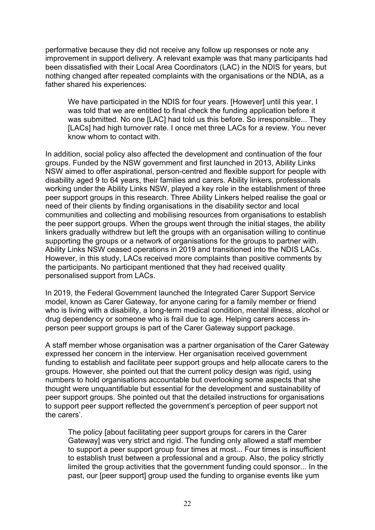performative because they did not receive any follow up responses or note any improvement in support delivery. A relevant example was that many participants had been dissatisfied with their Local Area Coordinators (LAC) in the NDIS for years, but nothing changed after repeated complaints with the organisations or the NDIA, as a father shared his experiences:

We have participated in the NDIS for four years. [However] until this year, I was told that we are entitled to final check the funding application before it was submitted. No one [LAC] had told us this before. So irresponsible... They [LACs] had high turnover rate. I once met three LACs for a review. You never know whom to contact with.

In addition, social policy also affected the development and continuation of the four groups. Funded by the NSW government and first launched in 2013, Ability Links NSW aimed to offer aspirational, person-centred and flexible support for people with disability aged 9 to 64 years, their families and carers. Ability linkers, professionals working under the Ability Links NSW, played a key role in the establishment of three peer support groups in this research. Three Ability Linkers helped realise the goal or need of their clients by finding organisations in the disability sector and local communities and collecting and mobilising resources from organisations to establish the peer support groups. When the groups went through the initial stages, the ability linkers gradually withdrew but left the groups with an organisation willing to continue supporting the groups or a network of organisations for the groups to partner with. Ability Links NSW ceased operations in 2019 and transitioned into the NDIS LACs. However, in this study, LACs received more complaints than positive comments by the participants. No participant mentioned that they had received quality personalised support from LACs.

In 2019, the Federal Government launched the Integrated Carer Support Service model, known as Carer Gateway, for anyone caring for a family member or friend who is living with a disability, a long-term medical condition, mental illness, alcohol or drug dependency or someone who is frail due to age. Helping carers access inperson peer support groups is part of the Carer Gateway support package.

A staff member whose organisation was a partner organisation of the Carer Gateway expressed her concern in the interview. Her organisation received government funding to establish and facilitate peer support groups and help allocate carers to the groups. However, she pointed out that the current policy design was rigid, using numbers to hold organisations accountable but overlooking some aspects that she thought were unquantifiable but essential for the development and sustainability of peer support groups. She pointed out that the detailed instructions for organisations to support peer support reflected the government's perception of peer support not the carers'.

The policy [about facilitating peer support groups for carers in the Carer Gateway] was very strict and rigid. The funding only allowed a staff member to support a peer support group four times at most... Four times is insufficient to establish trust between a professional and a group. Also, the policy strictly limited the group activities that the government funding could sponsor... In the past, our [peer support] group used the funding to organise events like yum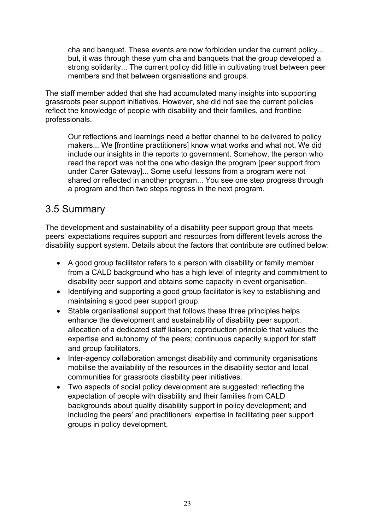cha and banquet. These events are now forbidden under the current policy... but, it was through these yum cha and banquets that the group developed a strong solidarity... The current policy did little in cultivating trust between peer members and that between organisations and groups.

The staff member added that she had accumulated many insights into supporting grassroots peer support initiatives. However, she did not see the current policies reflect the knowledge of people with disability and their families, and frontline professionals.

Our reflections and learnings need a better channel to be delivered to policy makers... We [frontline practitioners] know what works and what not. We did include our insights in the reports to government. Somehow, the person who read the report was not the one who design the program [peer support from under Carer Gateway]... Some useful lessons from a program were not shared or reflected in another program... You see one step progress through a program and then two steps regress in the next program.

## <span id="page-24-0"></span>3.5 Summary

The development and sustainability of a disability peer support group that meets peers' expectations requires support and resources from different levels across the disability support system. Details about the factors that contribute are outlined below:

- A good group facilitator refers to a person with disability or family member from a CALD background who has a high level of integrity and commitment to disability peer support and obtains some capacity in event organisation.
- Identifying and supporting a good group facilitator is key to establishing and maintaining a good peer support group.
- Stable organisational support that follows these three principles helps enhance the development and sustainability of disability peer support: allocation of a dedicated staff liaison; coproduction principle that values the expertise and autonomy of the peers; continuous capacity support for staff and group facilitators.
- Inter-agency collaboration amongst disability and community organisations mobilise the availability of the resources in the disability sector and local communities for grassroots disability peer initiatives.
- Two aspects of social policy development are suggested: reflecting the expectation of people with disability and their families from CALD backgrounds about quality disability support in policy development; and including the peers' and practitioners' expertise in facilitating peer support groups in policy development.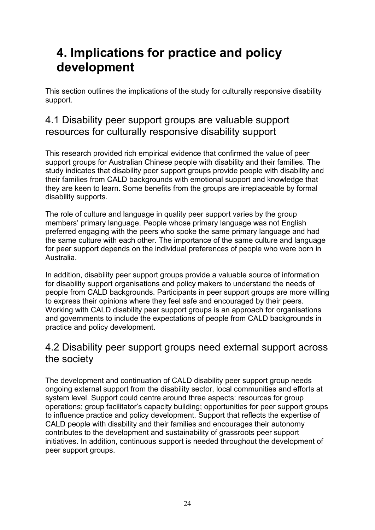## <span id="page-25-0"></span>**4. Implications for practice and policy development**

This section outlines the implications of the study for culturally responsive disability support.

## <span id="page-25-1"></span>4.1 Disability peer support groups are valuable support resources for culturally responsive disability support

This research provided rich empirical evidence that confirmed the value of peer support groups for Australian Chinese people with disability and their families. The study indicates that disability peer support groups provide people with disability and their families from CALD backgrounds with emotional support and knowledge that they are keen to learn. Some benefits from the groups are irreplaceable by formal disability supports.

The role of culture and language in quality peer support varies by the group members' primary language. People whose primary language was not English preferred engaging with the peers who spoke the same primary language and had the same culture with each other. The importance of the same culture and language for peer support depends on the individual preferences of people who were born in Australia.

In addition, disability peer support groups provide a valuable source of information for disability support organisations and policy makers to understand the needs of people from CALD backgrounds. Participants in peer support groups are more willing to express their opinions where they feel safe and encouraged by their peers. Working with CALD disability peer support groups is an approach for organisations and governments to include the expectations of people from CALD backgrounds in practice and policy development.

## <span id="page-25-2"></span>4.2 Disability peer support groups need external support across the society

The development and continuation of CALD disability peer support group needs ongoing external support from the disability sector, local communities and efforts at system level. Support could centre around three aspects: resources for group operations; group facilitator's capacity building; opportunities for peer support groups to influence practice and policy development. Support that reflects the expertise of CALD people with disability and their families and encourages their autonomy contributes to the development and sustainability of grassroots peer support initiatives. In addition, continuous support is needed throughout the development of peer support groups.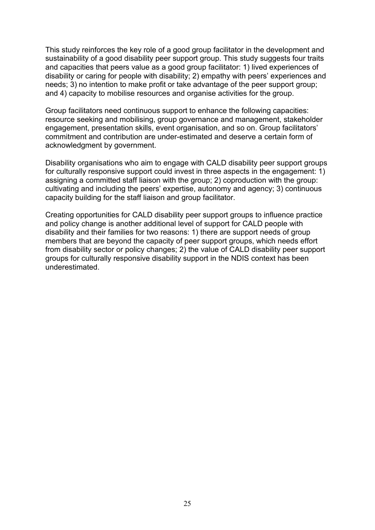This study reinforces the key role of a good group facilitator in the development and sustainability of a good disability peer support group. This study suggests four traits and capacities that peers value as a good group facilitator: 1) lived experiences of disability or caring for people with disability; 2) empathy with peers' experiences and needs; 3) no intention to make profit or take advantage of the peer support group; and 4) capacity to mobilise resources and organise activities for the group.

Group facilitators need continuous support to enhance the following capacities: resource seeking and mobilising, group governance and management, stakeholder engagement, presentation skills, event organisation, and so on. Group facilitators' commitment and contribution are under-estimated and deserve a certain form of acknowledgment by government.

Disability organisations who aim to engage with CALD disability peer support groups for culturally responsive support could invest in three aspects in the engagement: 1) assigning a committed staff liaison with the group; 2) coproduction with the group: cultivating and including the peers' expertise, autonomy and agency; 3) continuous capacity building for the staff liaison and group facilitator.

Creating opportunities for CALD disability peer support groups to influence practice and policy change is another additional level of support for CALD people with disability and their families for two reasons: 1) there are support needs of group members that are beyond the capacity of peer support groups, which needs effort from disability sector or policy changes; 2) the value of CALD disability peer support groups for culturally responsive disability support in the NDIS context has been underestimated.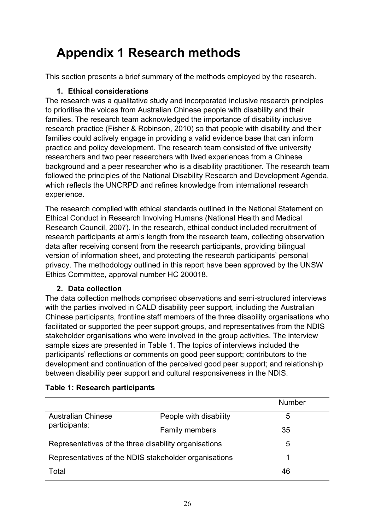## <span id="page-27-0"></span>**Appendix 1 Research methods**

This section presents a brief summary of the methods employed by the research.

#### **1. Ethical considerations**

The research was a qualitative study and incorporated inclusive research principles to prioritise the voices from Australian Chinese people with disability and their families. The research team acknowledged the importance of disability inclusive research practice (Fisher & Robinson, 2010) so that people with disability and their families could actively engage in providing a valid evidence base that can inform practice and policy development. The research team consisted of five university researchers and two peer researchers with lived experiences from a Chinese background and a peer researcher who is a disability practitioner. The research team followed the principles of the National Disability Research and Development Agenda, which reflects the UNCRPD and refines knowledge from international research experience.

The research complied with ethical standards outlined in the National Statement on Ethical Conduct in Research Involving Humans (National Health and Medical Research Council, 2007). In the research, ethical conduct included recruitment of research participants at arm's length from the research team, collecting observation data after receiving consent from the research participants, providing bilingual version of information sheet, and protecting the research participants' personal privacy. The methodology outlined in this report have been approved by the UNSW Ethics Committee, approval number HC 200018.

#### **2. Data collection**

The data collection methods comprised observations and semi-structured interviews with the parties involved in CALD disability peer support, including the Australian Chinese participants, frontline staff members of the three disability organisations who facilitated or supported the peer support groups, and representatives from the NDIS stakeholder organisations who were involved in the group activities. The interview sample sizes are presented in Table 1. The topics of interviews included the participants' reflections or comments on good peer support; contributors to the development and continuation of the perceived good peer support; and relationship between disability peer support and cultural responsiveness in the NDIS.

|                                                       |                        | Number |
|-------------------------------------------------------|------------------------|--------|
| <b>Australian Chinese</b><br>participants:            | People with disability | 5      |
|                                                       | <b>Family members</b>  | 35     |
| Representatives of the three disability organisations |                        | 5      |
| Representatives of the NDIS stakeholder organisations |                        | 1      |
| Total                                                 |                        | 46     |

#### **Table 1: Research participants**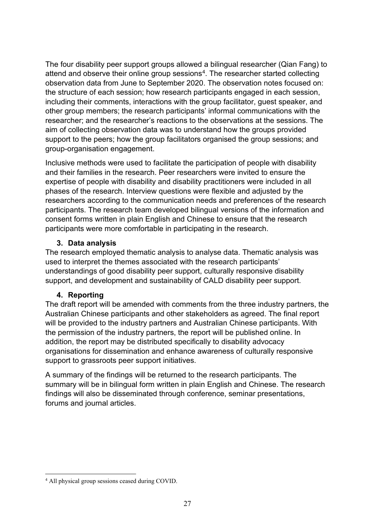The four disability peer support groups allowed a bilingual researcher (Qian Fang) to attend and observe their online group sessions<sup>4</sup>. The researcher started collecting observation data from June to September 2020. The observation notes focused on: the structure of each session; how research participants engaged in each session, including their comments, interactions with the group facilitator, guest speaker, and other group members; the research participants' informal communications with the researcher; and the researcher's reactions to the observations at the sessions. The aim of collecting observation data was to understand how the groups provided support to the peers; how the group facilitators organised the group sessions; and group-organisation engagement.

Inclusive methods were used to facilitate the participation of people with disability and their families in the research. Peer researchers were invited to ensure the expertise of people with disability and disability practitioners were included in all phases of the research. Interview questions were flexible and adjusted by the researchers according to the communication needs and preferences of the research participants. The research team developed bilingual versions of the information and consent forms written in plain English and Chinese to ensure that the research participants were more comfortable in participating in the research.

#### **3. Data analysis**

The research employed thematic analysis to analyse data. Thematic analysis was used to interpret the themes associated with the research participants' understandings of good disability peer support, culturally responsive disability support, and development and sustainability of CALD disability peer support.

#### **4. Reporting**

The draft report will be amended with comments from the three industry partners, the Australian Chinese participants and other stakeholders as agreed. The final report will be provided to the industry partners and Australian Chinese participants. With the permission of the industry partners, the report will be published online. In addition, the report may be distributed specifically to disability advocacy organisations for dissemination and enhance awareness of culturally responsive support to grassroots peer support initiatives.

A summary of the findings will be returned to the research participants. The summary will be in bilingual form written in plain English and Chinese. The research findings will also be disseminated through conference, seminar presentations, forums and journal articles.

<span id="page-28-0"></span><sup>4</sup> All physical group sessions ceased during COVID.